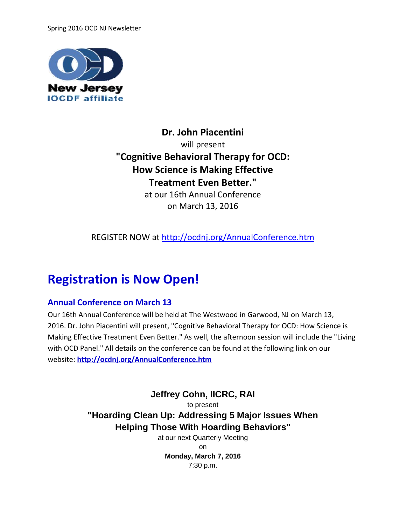Spring 2016 OCD NJ Newsletter



**Dr. John Piacentini** will present **"Cognitive Behavioral Therapy for OCD: How Science is Making Effective Treatment Even Better."**

at our 16th Annual Conference on March 13, 2016

REGISTER NOW at<http://ocdnj.org/AnnualConference.htm>

# **Registration is Now Open!**

### **Annual Conference on March 13**

Our 16th Annual Conference will be held at The Westwood in Garwood, NJ on March 13, 2016. Dr. John Piacentini will present, "Cognitive Behavioral Therapy for OCD: How Science is Making Effective Treatment Even Better." As well, the afternoon session will include the "Living with OCD Panel." All details on the conference can be found at the following link on our website: **<http://ocdnj.org/AnnualConference.htm>**

> **Jeffrey Cohn, IICRC, RAI** to present **"Hoarding Clean Up: Addressing 5 Major Issues When Helping Those With Hoarding Behaviors"**

at our next Quarterly Meeting on **Monday, March 7, 2016** 7:30 p.m.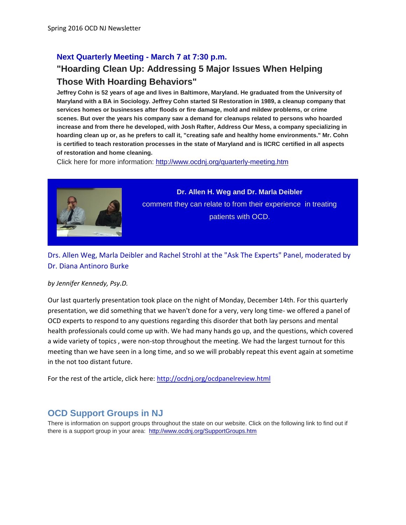#### **Next Quarterly Meeting - March 7 at 7:30 p.m.**

## **"Hoarding Clean Up: Addressing 5 Major Issues When Helping Those With Hoarding Behaviors"**

**Jeffrey Cohn is 52 years of age and lives in Baltimore, Maryland. He graduated from the University of Maryland with a BA in Sociology. Jeffrey Cohn started SI Restoration in 1989, a cleanup company that services homes or businesses after floods or fire damage, mold and mildew problems, or crime scenes. But over the years his company saw a demand for cleanups related to persons who hoarded increase and from there he developed, with Josh Rafter, Address Our Mess, a company specializing in hoarding clean up or, as he prefers to call it, "creating safe and healthy home environments." Mr. Cohn is certified to teach restoration processes in the state of Maryland and is IICRC certified in all aspects of restoration and home cleaning.** 

Click here for more information:<http://www.ocdnj.org/quarterly-meeting.htm>



**Dr. Allen H. Weg and Dr. Marla Deibler**  comment they can relate to from their experience in treating patients with OCD.

Drs. Allen Weg, Marla Deibler and Rachel Strohl at the "Ask The Experts" Panel, moderated by Dr. Diana Antinoro Burke

*by Jennifer Kennedy, Psy.D.*

Our last quarterly presentation took place on the night of Monday, December 14th. For this quarterly presentation, we did something that we haven't done for a very, very long time- we offered a panel of OCD experts to respond to any questions regarding this disorder that both lay persons and mental health professionals could come up with. We had many hands go up, and the questions, which covered a wide variety of topics , were non-stop throughout the meeting. We had the largest turnout for this meeting than we have seen in a long time, and so we will probably repeat this event again at sometime in the not too distant future.

For the rest of the article, click here[: http://ocdnj.org/ocdpanelreview.html](http://ocdnj.org/ocdpanelreview.html)

### **OCD Support Groups in NJ**

There is information on support groups throughout the state on our website. Click on the following link to find out if there is a support group in your area: <http://www.ocdnj.org/SupportGroups.htm>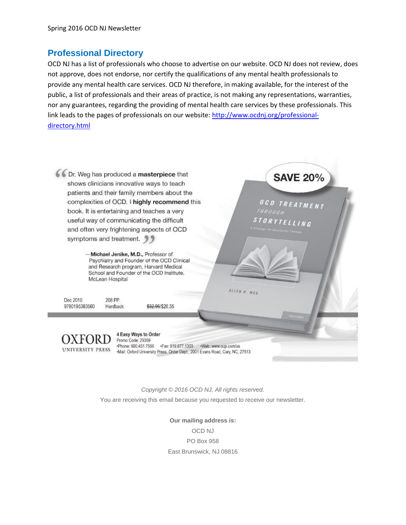### **Professional Directory**

OCD NJ has a list of professionals who choose to advertise on our website. OCD NJ does not review, does not approve, does not endorse, nor certify the qualifications of any mental health professionals to provide any mental health care services. OCD NJ therefore, in making available, for the interest of the public, a list of professionals and their areas of practice, is not making any representations, warranties, nor any guarantees, regarding the providing of mental health care services by these professionals. This link leads to the pages of professionals on our website[: http://www.ocdnj.org/professional](http://www.ocdnj.org/professional-directory.html)[directory.html](http://www.ocdnj.org/professional-directory.html)

**SAVE 20%** 

OCD TREATMENT

*STORYTELLING* 

ALLEN H. WEG

6 Dr. Weg has produced a masterpiece that shows clinicians innovative ways to teach patients and their family members about the complexities of OCD. I highly recommend this book. It is entertaining and teaches a very useful way of communicating the difficult and often very frightening aspects of OCD symptoms and treatment. 99

> -Michael Jenike, M.D., Professor of Psychiatry and Founder of the OCD Clinical and Research program, Harvard Medical School and Founder of the OCD Institute, McLean Hospital

Dec 2010 9780195383560

\$32.95/\$26.35

4 Easy Ways to Order

208 PP.

Hardback

Promo Code: 29359 .Phone: 800.451.7556 .Fax: 919.677.1303 .Neb: www.oup.com/us UNIVERSITY PRESS Hall: Oxford University Press. Order Dept., 2001 Evans Road, Cary, NC, 27513

> *Copyright © 2016 OCD NJ, All rights reserved.* You are receiving this email because you requested to receive our newsletter.

> > **Our mailing address is:** OCD NJ PO Box 958 East Brunswick, NJ 08816